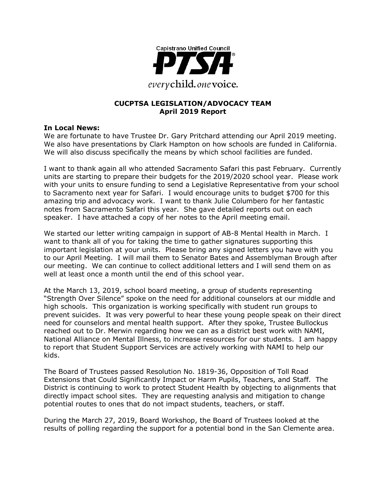

#### **CUCPTSA LEGISLATION/ADVOCACY TEAM April 2019 Report**

#### **In Local News:**

We are fortunate to have Trustee Dr. Gary Pritchard attending our April 2019 meeting. We also have presentations by Clark Hampton on how schools are funded in California. We will also discuss specifically the means by which school facilities are funded.

I want to thank again all who attended Sacramento Safari this past February. Currently units are starting to prepare their budgets for the 2019/2020 school year. Please work with your units to ensure funding to send a Legislative Representative from your school to Sacramento next year for Safari. I would encourage units to budget \$700 for this amazing trip and advocacy work. I want to thank Julie Columbero for her fantastic notes from Sacramento Safari this year. She gave detailed reports out on each speaker. I have attached a copy of her notes to the April meeting email.

We started our letter writing campaign in support of AB-8 Mental Health in March. I want to thank all of you for taking the time to gather signatures supporting this important legislation at your units. Please bring any signed letters you have with you to our April Meeting. I will mail them to Senator Bates and Assemblyman Brough after our meeting. We can continue to collect additional letters and I will send them on as well at least once a month until the end of this school year.

At the March 13, 2019, school board meeting, a group of students representing "Strength Over Silence" spoke on the need for additional counselors at our middle and high schools. This organization is working specifically with student run groups to prevent suicides. It was very powerful to hear these young people speak on their direct need for counselors and mental health support. After they spoke, Trustee Bullockus reached out to Dr. Merwin regarding how we can as a district best work with NAMI, National Alliance on Mental Illness, to increase resources for our students. I am happy to report that Student Support Services are actively working with NAMI to help our kids.

The Board of Trustees passed Resolution No. 1819-36, Opposition of Toll Road Extensions that Could Significantly Impact or Harm Pupils, Teachers, and Staff. The District is continuing to work to protect Student Health by objecting to alignments that directly impact school sites. They are requesting analysis and mitigation to change potential routes to ones that do not impact students, teachers, or staff.

During the March 27, 2019, Board Workshop, the Board of Trustees looked at the results of polling regarding the support for a potential bond in the San Clemente area.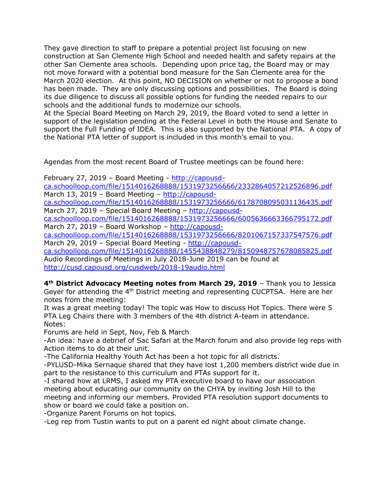They gave direction to staff to prepare a potential project list focusing on new construction at San Clemente High School and needed health and safety repairs at the other San Clemente area schools. Depending upon price tag, the Board may or may not move forward with a potential bond measure for the San Clemente area for the March 2020 election. At this point, NO DECISION on whether or not to propose a bond has been made. They are only discussing options and possibilities. The Board is doing its due diligence to discuss all possible options for funding the needed repairs to our schools and the additional funds to modernize our schools.

At the Special Board Meeting on March 29, 2019, the Board voted to send a letter in support of the legislation pending at the Federal Level in both the House and Senate to support the Full Funding of IDEA. This is also supported by the National PTA. A copy of the National PTA letter of support is included in this month's email to you.

Agendas from the most recent Board of Trustee meetings can be found here:

February 27, 2019 – Board Meeting - http://capousd-

ca.schoolloop.com/file/1514016268888/1531973256666/2332864057212526896.pdf March 13, 2019 – Board Meeting – http://capousd-

ca.schoolloop.com/file/1514016268888/1531973256666/6178708095031136435.pdf March 27, 2019 – Special Board Meeting – http://capousd-

ca.schoolloop.com/file/1514016268888/1531973256666/6005636663366795172.pdf March 27, 2019 – Board Workshop – http://capousd-

ca.schoolloop.com/file/1514016268888/1531973256666/8201067157337547576.pdf March 29, 2019 – Special Board Meeting - http://capousd-

ca.schoolloop.com/file/1514016268888/1455438848279/8150948757678085825.pdf Audio Recordings of Meetings in July 2018-June 2019 can be found at http://cusd.capousd.org/cusdweb/2018-19audio.html

**4th District Advocacy Meeting notes from March 29, 2019** – Thank you to Jessica Geyer for attending the  $4<sup>th</sup>$  District meeting and representing CUCPTSA. Here are her notes from the meeting:

It was a great meeting today! The topic was How to discuss Hot Topics. There were 5 PTA Leg Chairs there with 3 members of the 4th district A-team in attendance. Notes:

Forums are held in Sept, Nov, Feb & March

-An idea: have a debrief of Sac Safari at the March forum and also provide leg reps with Action items to do at their unit.

-The California Healthy Youth Act has been a hot topic for all districts.

-PYLUSD-Mika Sernaque shared that they have lost 1,200 members district wide due in part to the resistance to this curriculum and PTAs support for it.

-I shared how at LRMS, I asked my PTA executive board to have our association meeting about educating our community on the CHYA by inviting Josh Hill to the meeting and informing our members. Provided PTA resolution support documents to show or board we could take a position on.

-Organize Parent Forums on hot topics.

-Leg rep from Tustin wants to put on a parent ed night about climate change.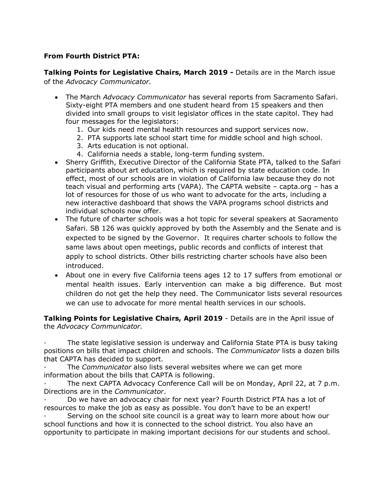## **From Fourth District PTA:**

**Talking Points for Legislative Chairs, March 2019 -** Details are in the March issue of the *Advocacy Communicator.*

- The March *Advocacy Communicator* has several reports from Sacramento Safari. Sixty-eight PTA members and one student heard from 15 speakers and then divided into small groups to visit legislator offices in the state capitol. They had four messages for the legislators:
	- 1. Our kids need mental health resources and support services now.
	- 2. PTA supports late school start time for middle school and high school.
	- 3. Arts education is not optional.
	- 4. California needs a stable, long-term funding system.
- Sherry Griffith, Executive Director of the California State PTA, talked to the Safari participants about art education, which is required by state education code. In effect, most of our schools are in violation of California law because they do not teach visual and performing arts (VAPA). The CAPTA website – capta.org – has a lot of resources for those of us who want to advocate for the arts, including a new interactive dashboard that shows the VAPA programs school districts and individual schools now offer.
- The future of charter schools was a hot topic for several speakers at Sacramento Safari. SB 126 was quickly approved by both the Assembly and the Senate and is expected to be signed by the Governor. It requires charter schools to follow the same laws about open meetings, public records and conflicts of interest that apply to school districts. Other bills restricting charter schools have also been introduced.
- About one in every five California teens ages 12 to 17 suffers from emotional or mental health issues. Early intervention can make a big difference. But most children do not get the help they need. The Communicator lists several resources we can use to advocate for more mental health services in our schools.

**Talking Points for Legislative Chairs, April 2019** - Details are in the April issue of the *Advocacy Communicator.*

· The state legislative session is underway and California State PTA is busy taking positions on bills that impact children and schools. The *Communicator* lists a dozen bills that CAPTA has decided to support.

The *Communicator* also lists several websites where we can get more information about the bills that CAPTA is following.

The next CAPTA Advocacy Conference Call will be on Monday, April 22, at 7 p.m. Directions are in the *Communicator*.

· Do we have an advocacy chair for next year? Fourth District PTA has a lot of resources to make the job as easy as possible. You don't have to be an expert!

Serving on the school site council is a great way to learn more about how our school functions and how it is connected to the school district. You also have an opportunity to participate in making important decisions for our students and school.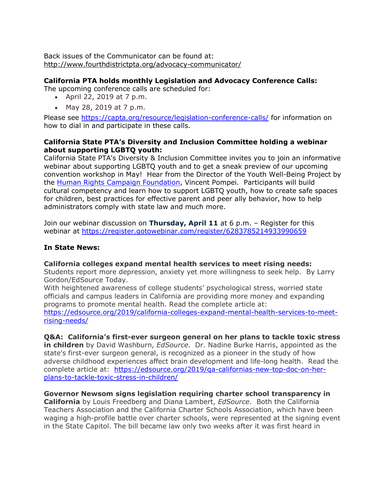Back issues of the Communicator can be found at: http://www.fourthdistrictpta.org/advocacy-communicator/

### **California PTA holds monthly Legislation and Advocacy Conference Calls:**

The upcoming conference calls are scheduled for:

- April 22, 2019 at 7 p.m.
- May 28, 2019 at 7 p.m.

Please see https://capta.org/resource/legislation-conference-calls/ for information on how to dial in and participate in these calls.

#### **California State PTA's Diversity and Inclusion Committee holding a webinar about supporting LGBTQ youth:**

California State PTA's Diversity & Inclusion Committee invites you to join an informative webinar about supporting LGBTQ youth and to get a sneak preview of our upcoming convention workshop in May! Hear from the Director of the Youth Well-Being Project by the Human Rights Campaign Foundation, Vincent Pompei. Participants will build cultural competency and learn how to support LGBTQ youth, how to create safe spaces for children, best practices for effective parent and peer ally behavior, how to help administrators comply with state law and much more.

Join our webinar discussion on **Thursday, April 11** at 6 p.m. – Register for this webinar at https://register.gotowebinar.com/register/6283785214933990659

### **In State News:**

#### **California colleges expand mental health services to meet rising needs:**

Students report more depression, anxiety yet more willingness to seek help. By Larry Gordon/EdSource Today.

With heightened awareness of college students' psychological stress, worried state officials and campus leaders in California are providing more money and expanding programs to promote mental health. Read the complete article at:

https://edsource.org/2019/california-colleges-expand-mental-health-services-to-meetrising-needs/

**Q&A: California's first-ever surgeon general on her plans to tackle toxic stress in children** by David Washburn, *EdSource*. Dr. Nadine Burke Harris, appointed as the state's first-ever surgeon general, is recognized as a pioneer in the study of how adverse childhood experiences affect brain development and life-long health. Read the complete article at: https://edsource.org/2019/qa-californias-new-top-doc-on-herplans-to-tackle-toxic-stress-in-children/

### **Governor Newsom signs legislation requiring charter school transparency in**

**California** by Louis Freedberg and Diana Lambert, *EdSource*. Both the California Teachers Association and the California Charter Schools Association, which have been waging a high-profile battle over charter schools, were represented at the signing event in the State Capitol. The bill became law only two weeks after it was first heard in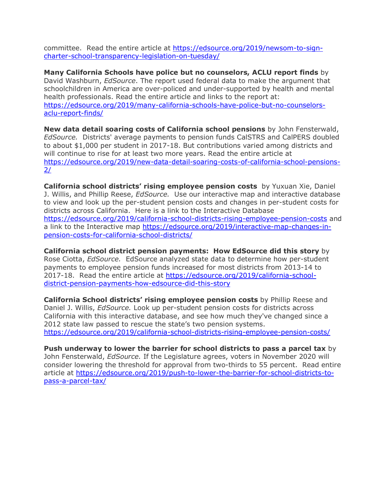committee. Read the entire article at https://edsource.org/2019/newsom-to-signcharter-school-transparency-legislation-on-tuesday/

**Many California Schools have police but no counselors, ACLU report finds** by David Washburn, *EdSource*. The report used federal data to make the argument that schoolchildren in America are over-policed and under-supported by health and mental health professionals. Read the entire article and links to the report at: https://edsource.org/2019/many-california-schools-have-police-but-no-counselorsaclu-report-finds/

**New data detail soaring costs of California school pensions** by John Fensterwald, *EdSource.* Districts' average payments to pension funds CalSTRS and CalPERS doubled to about \$1,000 per student in 2017-18. But contributions varied among districts and will continue to rise for at least two more years. Read the entire article at https://edsource.org/2019/new-data-detail-soaring-costs-of-california-school-pensions- $2/$ 

**California school districts' rising employee pension costs** by Yuxuan Xie, Daniel J. Willis, and Phillip Reese, *EdSource.* Use our interactive map and interactive database to view and look up the per-student pension costs and changes in per-student costs for districts across California. Here is a link to the Interactive Database https://edsource.org/2019/california-school-districts-rising-employee-pension-costs and a link to the Interactive map https://edsource.org/2019/interactive-map-changes-inpension-costs-for-california-school-districts/

**California school district pension payments: How EdSource did this story** by Rose Ciotta, *EdSource.* EdSource analyzed state data to determine how per-student payments to employee pension funds increased for most districts from 2013-14 to 2017-18. Read the entire article at https://edsource.org/2019/california-schooldistrict-pension-payments-how-edsource-did-this-story

**California School districts' rising employee pension costs** by Phillip Reese and Daniel J. Willis, *EdSource.* Look up per-student pension costs for districts across California with this interactive database, and see how much they've changed since a 2012 state law passed to rescue the state's two pension systems. https://edsource.org/2019/california-school-districts-rising-employee-pension-costs/

**Push underway to lower the barrier for school districts to pass a parcel tax** by John Fensterwald, *EdSource.* If the Legislature agrees, voters in November 2020 will consider lowering the threshold for approval from two-thirds to 55 percent. Read entire article at https://edsource.org/2019/push-to-lower-the-barrier-for-school-districts-topass-a-parcel-tax/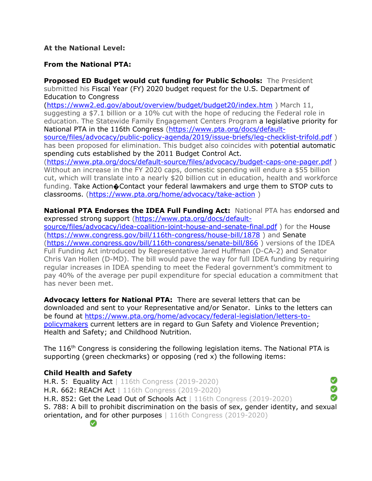#### **At the National Level:**

#### **From the National PTA:**

**Proposed ED Budget would cut funding for Public Schools:** The President submitted his Fiscal Year (FY) 2020 budget request for the U.S. Department of Education to Congress (https://www2.ed.gov/about/overview/budget/budget20/index.htm ) March 11, suggesting a \$7.1 billion or a 10% cut with the hope of reducing the Federal role in education. The Statewide Family Engagement Centers Program a legislative priority for National PTA in the 116th Congress (https://www.pta.org/docs/defaultsource/files/advocacy/public-policy-agenda/2019/issue-briefs/leg-checklist-trifold.pdf) has been proposed for elimination. This budget also coincides with potential automatic spending cuts established by the 2011 Budget Control Act. (https://www.pta.org/docs/default-source/files/advocacy/budget-caps-one-pager.pdf ) Without an increase in the FY 2020 caps, domestic spending will endure a \$55 billion cut, which will translate into a nearly \$20 billion cut in education, health and workforce funding. Take Action�Contact your federal lawmakers and urge them to STOP cuts to classrooms. (https://www.pta.org/home/advocacy/take-action )

**National PTA Endorses the IDEA Full Funding Act:** National PTA has endorsed and expressed strong support (https://www.pta.org/docs/defaultsource/files/advocacy/idea-coalition-joint-house-and-senate-final.pdf) for the House (https://www.congress.gov/bill/116th-congress/house-bill/1878 ) and Senate (https://www.congress.gov/bill/116th-congress/senate-bill/866 ) versions of the IDEA Full Funding Act introduced by Representative Jared Huffman (D-CA-2) and Senator Chris Van Hollen (D-MD). The bill would pave the way for full IDEA funding by requiring regular increases in IDEA spending to meet the Federal government's commitment to pay 40% of the average per pupil expenditure for special education a commitment that has never been met.

**Advocacy letters for National PTA:** There are several letters that can be downloaded and sent to your Representative and/or Senator. Links to the letters can be found at https://www.pta.org/home/advocacy/federal-legislation/letters-topolicymakers current letters are in regard to Gun Safety and Violence Prevention; Health and Safety; and Childhood Nutrition.

The  $116<sup>th</sup>$  Congress is considering the following legislation items. The National PTA is supporting (green checkmarks) or opposing (red x) the following items:

#### **Child Health and Safety**

◙ H.R. 5: Equality Act | 116th Congress (2019-2020) ◙ H.R. 662: REACH Act | 116th Congress (2019-2020) Ø H.R. 852: Get the Lead Out of Schools Act | 116th Congress (2019-2020) S. 788: A bill to prohibit discrimination on the basis of sex, gender identity, and sexual orientation, and for other purposes | 116th Congress (2019-2020)Ø